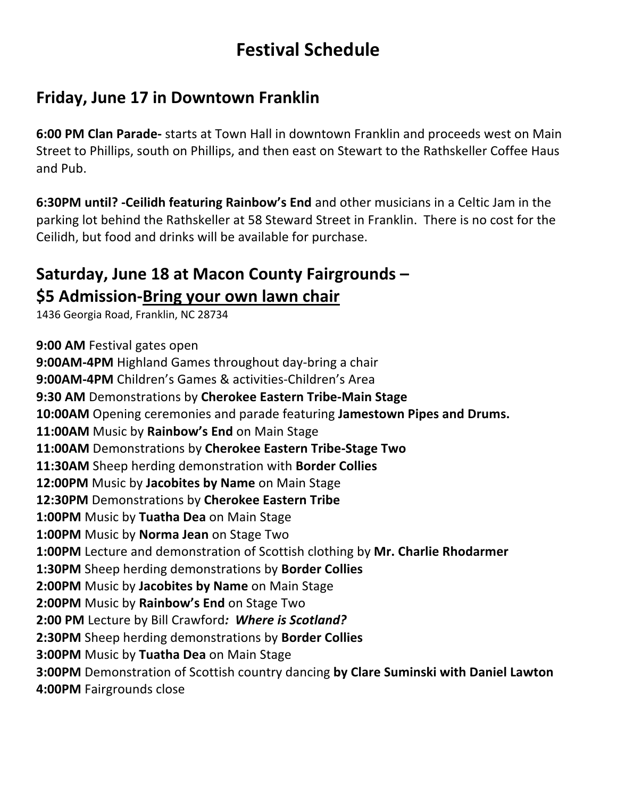# **Festival Schedule**

## **Friday, June 17 in Downtown Franklin**

**6:00 PM Clan Parade-** starts at Town Hall in downtown Franklin and proceeds west on Main Street to Phillips, south on Phillips, and then east on Stewart to the Rathskeller Coffee Haus and Pub.

**6:30PM until? -Ceilidh featuring Rainbow's End** and other musicians in a Celtic Jam in the parking lot behind the Rathskeller at 58 Steward Street in Franklin. There is no cost for the Ceilidh, but food and drinks will be available for purchase.

# **Saturday, June 18 at Macon County Fairgrounds – \$5 Admission-Bring your own lawn chair**

1436 Georgia Road, Franklin, NC 28734

**9:00 AM** Festival gates open **9:00AM-4PM** Highland Games throughout day-bring a chair **9:00AM-4PM** Children's Games & activities-Children's Area **9:30 AM** Demonstrations by **Cherokee Eastern Tribe-Main Stage 10:00AM** Opening ceremonies and parade featuring **Jamestown Pipes and Drums. 11:00AM** Music by **Rainbow's End** on Main Stage **11:00AM** Demonstrations by **Cherokee Eastern Tribe-Stage Two 11:30AM** Sheep herding demonstration with **Border Collies 12:00PM** Music by **Jacobites by Name** on Main Stage **12:30PM** Demonstrations by **Cherokee Eastern Tribe 1:00PM** Music by **Tuatha Dea** on Main Stage **1:00PM** Music by **Norma Jean** on Stage Two **1:00PM** Lecture and demonstration of Scottish clothing by **Mr. Charlie Rhodarmer 1:30PM** Sheep herding demonstrations by **Border Collies 2:00PM** Music by **Jacobites by Name** on Main Stage **2:00PM** Music by **Rainbow's End** on Stage Two **2:00 PM** Lecture by Bill Crawford*: Where is Scotland?* **2:30PM** Sheep herding demonstrations by **Border Collies 3:00PM** Music by **Tuatha Dea** on Main Stage **3:00PM** Demonstration of Scottish country dancing **by Clare Suminski with Daniel Lawton 4:00PM** Fairgrounds close